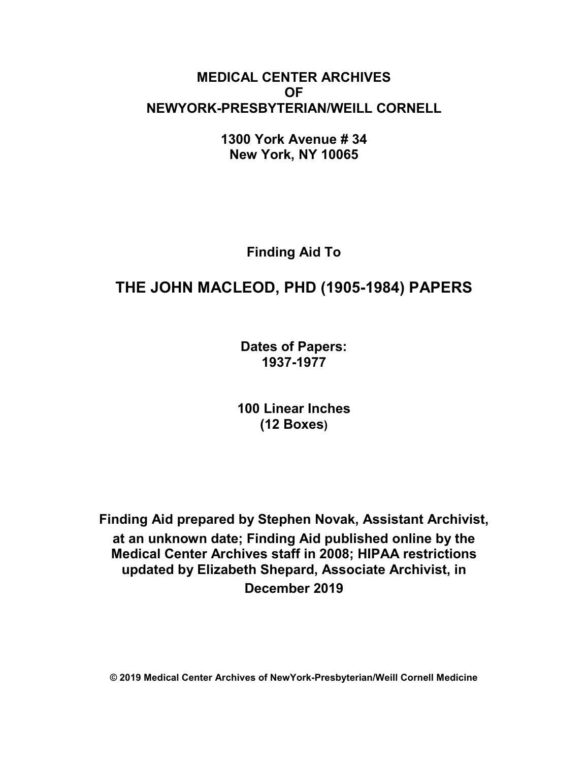# **MEDICAL CENTER ARCHIVES OF NEWYORK-PRESBYTERIAN/WEILL CORNELL**

**1300 York Avenue # 34 New York, NY 10065**

**Finding Aid To**

# **THE JOHN MACLEOD, PHD (1905-1984) PAPERS**

**Dates of Papers: 1937-1977**

**100 Linear Inches (12 Boxes)**

**Finding Aid prepared by Stephen Novak, Assistant Archivist, at an unknown date; Finding Aid published online by the Medical Center Archives staff in 2008; HIPAA restrictions updated by Elizabeth Shepard, Associate Archivist, in December 2019**

**© 2019 Medical Center Archives of NewYork-Presbyterian/Weill Cornell Medicine**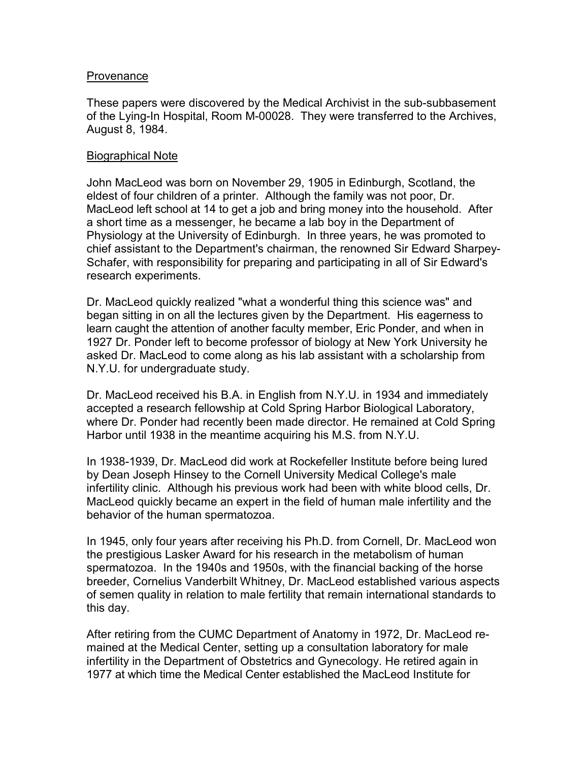#### **Provenance**

These papers were discovered by the Medical Archivist in the sub-subbasement of the Lying-In Hospital, Room M-00028. They were transferred to the Archives, August 8, 1984.

#### Biographical Note

John MacLeod was born on November 29, 1905 in Edinburgh, Scotland, the eldest of four children of a printer. Although the family was not poor, Dr. MacLeod left school at 14 to get a job and bring money into the household. After a short time as a messenger, he became a lab boy in the Department of Physiology at the University of Edinburgh. In three years, he was promoted to chief assistant to the Department's chairman, the renowned Sir Edward Sharpey-Schafer, with responsibility for preparing and participating in all of Sir Edward's research experiments.

Dr. MacLeod quickly realized "what a wonderful thing this science was" and began sitting in on all the lectures given by the Department. His eagerness to learn caught the attention of another faculty member, Eric Ponder, and when in 1927 Dr. Ponder left to become professor of biology at New York University he asked Dr. MacLeod to come along as his lab assistant with a scholarship from N.Y.U. for undergraduate study.

Dr. MacLeod received his B.A. in English from N.Y.U. in 1934 and immediately accepted a research fellowship at Cold Spring Harbor Biological Laboratory, where Dr. Ponder had recently been made director. He remained at Cold Spring Harbor until 1938 in the meantime acquiring his M.S. from N.Y.U.

In 1938-1939, Dr. MacLeod did work at Rockefeller Institute before being lured by Dean Joseph Hinsey to the Cornell University Medical College's male infertility clinic. Although his previous work had been with white blood cells, Dr. MacLeod quickly became an expert in the field of human male infertility and the behavior of the human spermatozoa.

In 1945, only four years after receiving his Ph.D. from Cornell, Dr. MacLeod won the prestigious Lasker Award for his research in the metabolism of human spermatozoa. In the 1940s and 1950s, with the financial backing of the horse breeder, Cornelius Vanderbilt Whitney, Dr. MacLeod established various aspects of semen quality in relation to male fertility that remain international standards to this day.

After retiring from the CUMC Department of Anatomy in 1972, Dr. MacLeod remained at the Medical Center, setting up a consultation laboratory for male infertility in the Department of Obstetrics and Gynecology. He retired again in 1977 at which time the Medical Center established the MacLeod Institute for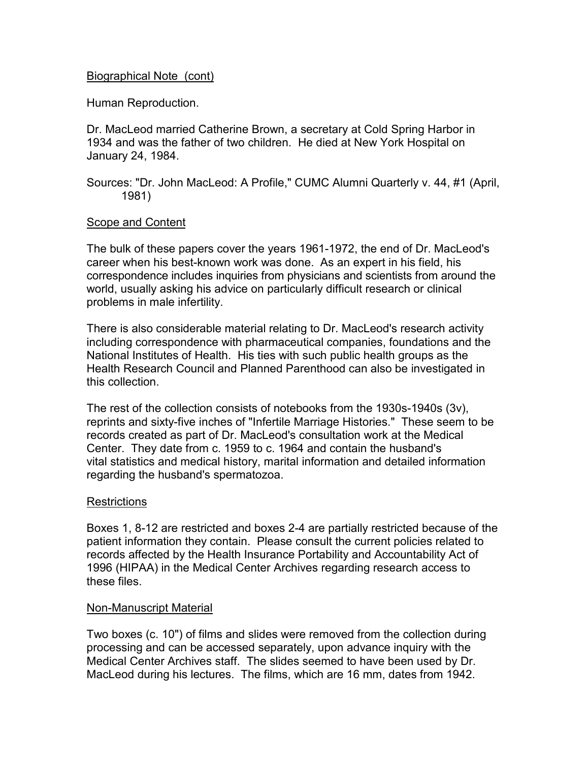#### Biographical Note (cont)

Human Reproduction.

Dr. MacLeod married Catherine Brown, a secretary at Cold Spring Harbor in 1934 and was the father of two children. He died at New York Hospital on January 24, 1984.

Sources: "Dr. John MacLeod: A Profile," CUMC Alumni Quarterly v. 44, #1 (April, 1981)

#### Scope and Content

The bulk of these papers cover the years 1961-1972, the end of Dr. MacLeod's career when his best-known work was done. As an expert in his field, his correspondence includes inquiries from physicians and scientists from around the world, usually asking his advice on particularly difficult research or clinical problems in male infertility.

There is also considerable material relating to Dr. MacLeod's research activity including correspondence with pharmaceutical companies, foundations and the National Institutes of Health. His ties with such public health groups as the Health Research Council and Planned Parenthood can also be investigated in this collection.

The rest of the collection consists of notebooks from the 1930s-1940s (3v), reprints and sixty-five inches of "Infertile Marriage Histories." These seem to be records created as part of Dr. MacLeod's consultation work at the Medical Center. They date from c. 1959 to c. 1964 and contain the husband's vital statistics and medical history, marital information and detailed information regarding the husband's spermatozoa.

#### **Restrictions**

Boxes 1, 8-12 are restricted and boxes 2-4 are partially restricted because of the patient information they contain. Please consult the current policies related to records affected by the Health Insurance Portability and Accountability Act of 1996 (HIPAA) in the Medical Center Archives regarding research access to these files.

#### Non-Manuscript Material

Two boxes (c. 10") of films and slides were removed from the collection during processing and can be accessed separately, upon advance inquiry with the Medical Center Archives staff. The slides seemed to have been used by Dr. MacLeod during his lectures. The films, which are 16 mm, dates from 1942.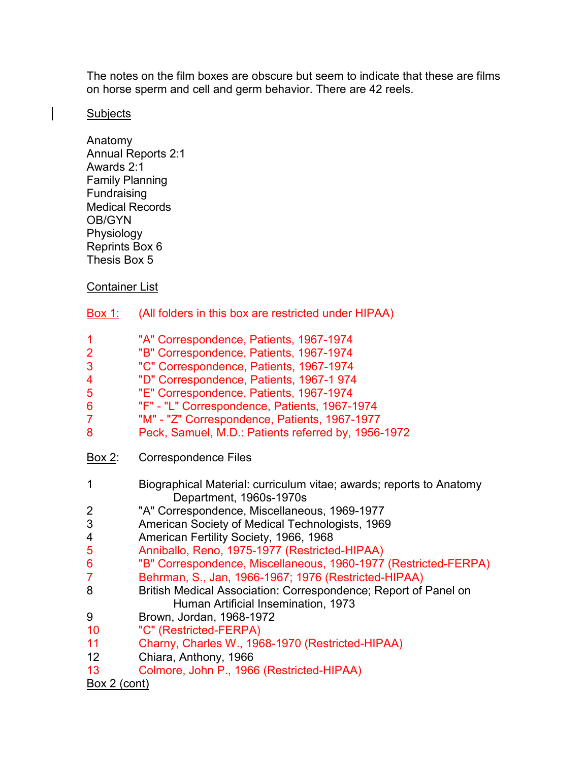The notes on the film boxes are obscure but seem to indicate that these are films on horse sperm and cell and germ behavior. There are 42 reels.

#### **Subjects**

Anatomy Annual Reports 2:1 Awards 2:1 Family Planning Fundraising Medical Records OB/GYN Physiology Reprints Box 6 Thesis Box 5

### Container List

- Box 1: (All folders in this box are restricted under HIPAA)
- 1 "A" Correspondence, Patients, 1967-1974<br>2 "B" Correspondence, Patients, 1967-1974
- 2 "B" Correspondence, Patients, 1967-1974
- 3 "C" Correspondence, Patients, 1967-1974
- 4 "D" Correspondence, Patients, 1967-1 974
- 5 "E" Correspondence, Patients, 1967-1974
- 6 "F" "L" Correspondence, Patients, 1967-1974
- 7 "M" "Z" Correspondence, Patients, 1967-1977
- 8 Peck, Samuel, M.D.: Patients referred by, 1956-1972
- Box 2: Correspondence Files
- 1 Biographical Material: curriculum vitae; awards; reports to Anatomy Department, 1960s-1970s
- 2 "A" Correspondence, Miscellaneous, 1969-1977
- 3 American Society of Medical Technologists, 1969
- 4 American Fertility Society, 1966, 1968
- 5 Anniballo, Reno, 1975-1977 (Restricted-HIPAA)
- "B" Correspondence, Miscellaneous, 1960-1977 (Restricted-FERPA)
- 7 Behrman, S., Jan, 1966-1967; 1976 (Restricted-HIPAA)
- 8 British Medical Association: Correspondence; Report of Panel on Human Artificial Insemination, 1973
- 9 Brown, Jordan, 1968-1972
- 10 "C" (Restricted-FERPA)
- 11 Charny, Charles W., 1968-1970 (Restricted-HIPAA)
- 12 Chiara, Anthony, 1966
- 13 Colmore, John P., 1966 (Restricted-HIPAA)

## Box 2 (cont)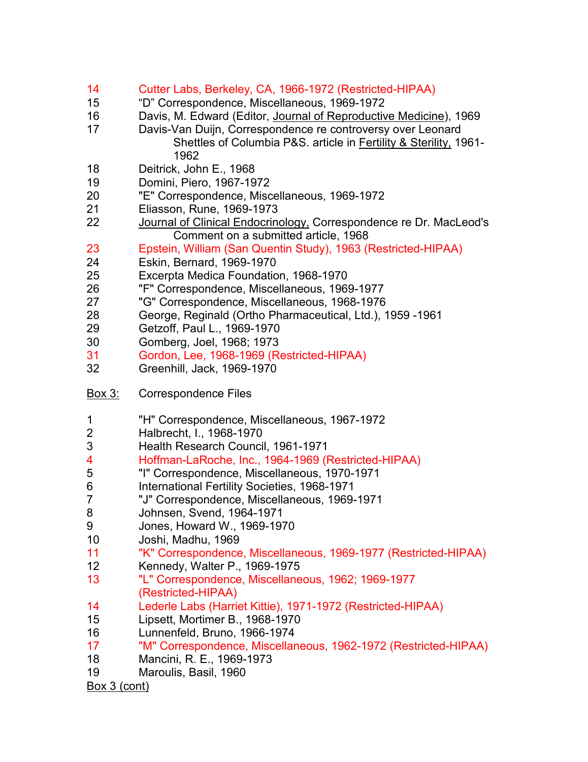- 14 Cutter Labs, Berkeley, CA, 1966-1972 (Restricted-HIPAA)<br>15 "D" Correspondence, Miscellaneous, 1969-1972
- 15 "D" Correspondence, Miscellaneous, 1969-1972
- 16 Davis, M. Edward (Editor, <u>Journal of Reproductive Medicine</u>), 1969<br>17 Davis-Van Duiin, Correspondence re controversy over Leonard
- Davis-Van Duijn, Correspondence re controversy over Leonard Shettles of Columbia P&S. article in Fertility & Sterility, 1961- 1962
- 18 Deitrick, John E., 1968
- 19 Domini, Piero, 1967-1972
- 20 "E" Correspondence, Miscellaneous, 1969-1972
- 21 Eliasson, Rune, 1969-1973
- 22 Journal of Clinical Endocrinology, Correspondence re Dr. MacLeod's Comment on a submitted article, 1968
- 23 Epstein, William (San Quentin Study), 1963 (Restricted-HIPAA)
- 24 Eskin, Bernard, 1969-1970
- 25 Excerpta Medica Foundation, 1968-1970
- "F" Correspondence, Miscellaneous, 1969-1977
- 27 <sup>"</sup>G" Correspondence, Miscellaneous, 1968-1976<br>28 **George, Reginald (Ortho Pharmaceutical, Ltd.)**
- 28 George, Reginald (Ortho Pharmaceutical, Ltd.), 1959 -1961
- 29 Getzoff, Paul L., 1969-1970
- 30 Gomberg, Joel, 1968; 1973<br>31 Gordon, Lee, 1968-1969 (Re
- 31 Gordon, Lee, 1968-1969 (Restricted-HIPAA)
- 32 Greenhill, Jack, 1969-1970
- Box 3: Correspondence Files
- 1 "H" Correspondence, Miscellaneous, 1967-1972
- 2 Halbrecht, I., 1968-1970
- 3 Health Research Council, 1961-1971<br>4 Hoffman-LaRoche Inc. 1964-1969 (F
- 4 Hoffman-LaRoche, Inc., 1964-1969 (Restricted-HIPAA)<br>5 The Correspondence, Miscellaneous, 1970-1971
- 5 "I" Correspondence, Miscellaneous, 1970-1971
- 6 International Fertility Societies, 1968-1971
- 7 "J" Correspondence, Miscellaneous, 1969-1971
- 8 Johnsen, Svend, 1964-1971<br>9 Jones, Howard W., 1969-197
- 9 Jones, Howard W., 1969-1970
- 10 Joshi, Madhu, 1969
- 11 "K" Correspondence, Miscellaneous, 1969-1977 (Restricted-HIPAA)
- 12 Kennedy, Walter P., 1969-1975
- 13 "L" Correspondence, Miscellaneous, 1962; 1969-1977 (Restricted-HIPAA)
- 14 Lederle Labs (Harriet Kittie), 1971-1972 (Restricted-HIPAA)
- 15 Lipsett, Mortimer B., 1968-1970
- 16 Lunnenfeld, Bruno, 1966-1974
- 17 "M" Correspondence, Miscellaneous, 1962-1972 (Restricted-HIPAA)
- 18 Mancini, R. E., 1969-1973
- 19 Maroulis, Basil, 1960
- Box 3 (cont)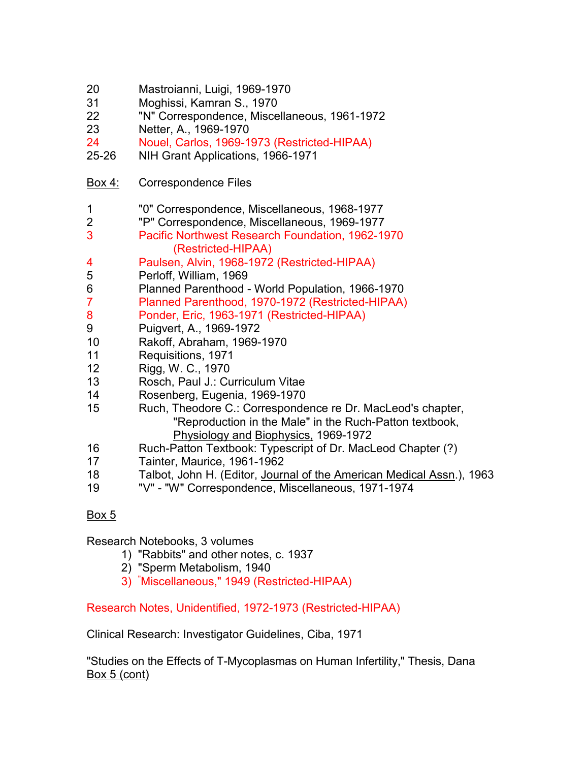| 20<br>31<br>22<br>23<br>24<br>25-26 | Mastroianni, Luigi, 1969-1970<br>Moghissi, Kamran S., 1970<br>"N" Correspondence, Miscellaneous, 1961-1972<br>Netter, A., 1969-1970<br>Nouel, Carlos, 1969-1973 (Restricted-HIPAA)<br>NIH Grant Applications, 1966-1971 |
|-------------------------------------|-------------------------------------------------------------------------------------------------------------------------------------------------------------------------------------------------------------------------|
| <u>Box 4:</u>                       | <b>Correspondence Files</b>                                                                                                                                                                                             |
| 1                                   | "0" Correspondence, Miscellaneous, 1968-1977                                                                                                                                                                            |
| $\overline{c}$                      | "P" Correspondence, Miscellaneous, 1969-1977                                                                                                                                                                            |
| 3                                   | Pacific Northwest Research Foundation, 1962-1970<br>(Restricted-HIPAA)                                                                                                                                                  |
| 4                                   | Paulsen, Alvin, 1968-1972 (Restricted-HIPAA)                                                                                                                                                                            |
| 5                                   | Perloff, William, 1969                                                                                                                                                                                                  |
| 6                                   | Planned Parenthood - World Population, 1966-1970                                                                                                                                                                        |
| 7                                   | Planned Parenthood, 1970-1972 (Restricted-HIPAA)                                                                                                                                                                        |
| 8                                   | Ponder, Eric, 1963-1971 (Restricted-HIPAA)                                                                                                                                                                              |
| 9                                   | Puigvert, A., 1969-1972                                                                                                                                                                                                 |
| 10                                  | Rakoff, Abraham, 1969-1970                                                                                                                                                                                              |
| 11                                  | Requisitions, 1971                                                                                                                                                                                                      |
| 12                                  | Rigg, W. C., 1970                                                                                                                                                                                                       |
| 13                                  | Rosch, Paul J.: Curriculum Vitae                                                                                                                                                                                        |
| 14                                  | Rosenberg, Eugenia, 1969-1970                                                                                                                                                                                           |
| 15                                  | Ruch, Theodore C.: Correspondence re Dr. MacLeod's chapter,<br>"Reproduction in the Male" in the Ruch-Patton textbook,<br>Physiology and Biophysics, 1969-1972                                                          |
| 16                                  | Ruch-Patton Textbook: Typescript of Dr. MacLeod Chapter (?)                                                                                                                                                             |
| 17                                  | Tainter, Maurice, 1961-1962                                                                                                                                                                                             |
| 18                                  | Talbot, John H. (Editor, Journal of the American Medical Assn.), 1963                                                                                                                                                   |

19 "V" - "W" Correspondence, Miscellaneous, 1971-1974

## Box 5

Research Notebooks, 3 volumes

- 1) "Rabbits" and other notes, c. 1937
- 2) "Sperm Metabolism, 1940
- 3) " Miscellaneous," 1949 (Restricted-HIPAA)

Research Notes, Unidentified, 1972-1973 (Restricted-HIPAA)

Clinical Research: Investigator Guidelines, Ciba, 1971

"Studies on the Effects of T-Mycoplasmas on Human Infertility," Thesis, Dana Box 5 (cont)